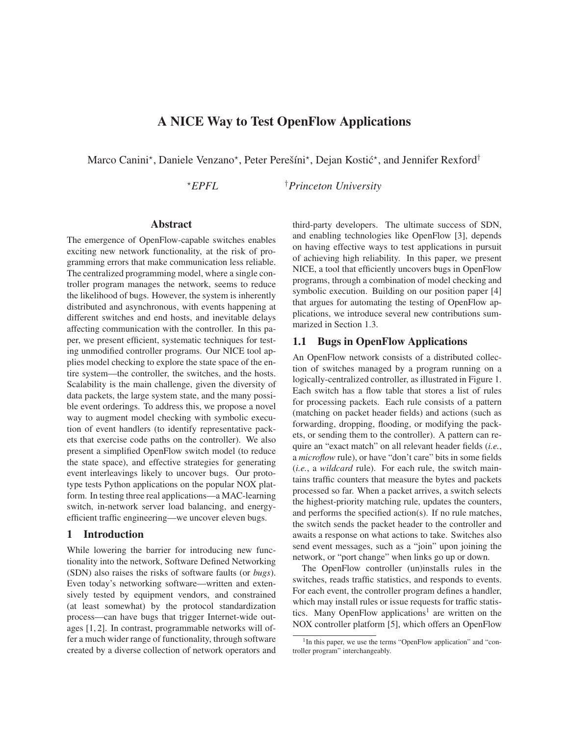# **A NICE Way to Test OpenFlow Applications**

Marco Canini<sup>\*</sup>, Daniele Venzano<sup>\*</sup>, Peter Perešíni<sup>\*</sup>, Dejan Kostić<sup>\*</sup>, and Jennifer Rexford<sup>†</sup>

<sup>⋆</sup>*EPFL* †*Princeton University*

## **Abstract**

The emergence of OpenFlow-capable switches enables exciting new network functionality, at the risk of programming errors that make communication less reliable. The centralized programming model, where a single controller program manages the network, seems to reduce the likelihood of bugs. However, the system is inherently distributed and asynchronous, with events happening at different switches and end hosts, and inevitable delays affecting communication with the controller. In this paper, we present efficient, systematic techniques for testing unmodified controller programs. Our NICE tool applies model checking to explore the state space of the entire system—the controller, the switches, and the hosts. Scalability is the main challenge, given the diversity of data packets, the large system state, and the many possible event orderings. To address this, we propose a novel way to augment model checking with symbolic execution of event handlers (to identify representative packets that exercise code paths on the controller). We also present a simplified OpenFlow switch model (to reduce the state space), and effective strategies for generating event interleavings likely to uncover bugs. Our prototype tests Python applications on the popular NOX platform. In testing three real applications—a MAC-learning switch, in-network server load balancing, and energyefficient traffic engineering—we uncover eleven bugs.

#### **1 Introduction**

While lowering the barrier for introducing new functionality into the network, Software Defined Networking (SDN) also raises the risks of software faults (or *bugs*). Even today's networking software—written and extensively tested by equipment vendors, and constrained (at least somewhat) by the protocol standardization process—can have bugs that trigger Internet-wide outages [1, 2]. In contrast, programmable networks will offer a much wider range of functionality, through software created by a diverse collection of network operators and third-party developers. The ultimate success of SDN, and enabling technologies like OpenFlow [3], depends on having effective ways to test applications in pursuit of achieving high reliability. In this paper, we present NICE, a tool that efficiently uncovers bugs in OpenFlow programs, through a combination of model checking and symbolic execution. Building on our position paper [4] that argues for automating the testing of OpenFlow applications, we introduce several new contributions summarized in Section 1.3.

## **1.1 Bugs in OpenFlow Applications**

An OpenFlow network consists of a distributed collection of switches managed by a program running on a logically-centralized controller, as illustrated in Figure 1. Each switch has a flow table that stores a list of rules for processing packets. Each rule consists of a pattern (matching on packet header fields) and actions (such as forwarding, dropping, flooding, or modifying the packets, or sending them to the controller). A pattern can require an "exact match" on all relevant header fields (*i.e.*, a *microflow* rule), or have "don't care" bits in some fields (*i.e.*, a *wildcard* rule). For each rule, the switch maintains traffic counters that measure the bytes and packets processed so far. When a packet arrives, a switch selects the highest-priority matching rule, updates the counters, and performs the specified action(s). If no rule matches, the switch sends the packet header to the controller and awaits a response on what actions to take. Switches also send event messages, such as a "join" upon joining the network, or "port change" when links go up or down.

The OpenFlow controller (un)installs rules in the switches, reads traffic statistics, and responds to events. For each event, the controller program defines a handler, which may install rules or issue requests for traffic statistics. Many OpenFlow applications<sup>1</sup> are written on the NOX controller platform [5], which offers an OpenFlow

<sup>&</sup>lt;sup>1</sup>In this paper, we use the terms "OpenFlow application" and "controller program" interchangeably.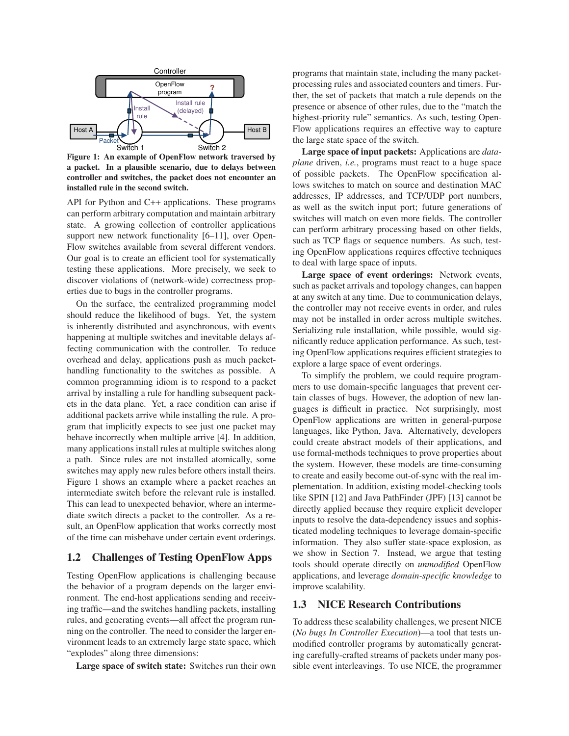

**Figure 1: An example of OpenFlow network traversed by a packet. In a plausible scenario, due to delays between controller and switches, the packet does not encounter an installed rule in the second switch.**

API for Python and C++ applications. These programs can perform arbitrary computation and maintain arbitrary state. A growing collection of controller applications support new network functionality [6–11], over Open-Flow switches available from several different vendors. Our goal is to create an efficient tool for systematically testing these applications. More precisely, we seek to discover violations of (network-wide) correctness properties due to bugs in the controller programs.

On the surface, the centralized programming model should reduce the likelihood of bugs. Yet, the system is inherently distributed and asynchronous, with events happening at multiple switches and inevitable delays affecting communication with the controller. To reduce overhead and delay, applications push as much packethandling functionality to the switches as possible. A common programming idiom is to respond to a packet arrival by installing a rule for handling subsequent packets in the data plane. Yet, a race condition can arise if additional packets arrive while installing the rule. A program that implicitly expects to see just one packet may behave incorrectly when multiple arrive [4]. In addition, many applications install rules at multiple switches along a path. Since rules are not installed atomically, some switches may apply new rules before others install theirs. Figure 1 shows an example where a packet reaches an intermediate switch before the relevant rule is installed. This can lead to unexpected behavior, where an intermediate switch directs a packet to the controller. As a result, an OpenFlow application that works correctly most of the time can misbehave under certain event orderings.

# **1.2 Challenges of Testing OpenFlow Apps**

Testing OpenFlow applications is challenging because the behavior of a program depends on the larger environment. The end-host applications sending and receiving traffic—and the switches handling packets, installing rules, and generating events—all affect the program running on the controller. The need to consider the larger environment leads to an extremely large state space, which "explodes" along three dimensions:

**Large space of switch state:** Switches run their own

programs that maintain state, including the many packetprocessing rules and associated counters and timers. Further, the set of packets that match a rule depends on the presence or absence of other rules, due to the "match the highest-priority rule" semantics. As such, testing Open-Flow applications requires an effective way to capture the large state space of the switch.

**Large space of input packets:** Applications are *dataplane* driven, *i.e.*, programs must react to a huge space of possible packets. The OpenFlow specification allows switches to match on source and destination MAC addresses, IP addresses, and TCP/UDP port numbers, as well as the switch input port; future generations of switches will match on even more fields. The controller can perform arbitrary processing based on other fields, such as TCP flags or sequence numbers. As such, testing OpenFlow applications requires effective techniques to deal with large space of inputs.

**Large space of event orderings:** Network events, such as packet arrivals and topology changes, can happen at any switch at any time. Due to communication delays, the controller may not receive events in order, and rules may not be installed in order across multiple switches. Serializing rule installation, while possible, would significantly reduce application performance. As such, testing OpenFlow applications requires efficient strategies to explore a large space of event orderings.

To simplify the problem, we could require programmers to use domain-specific languages that prevent certain classes of bugs. However, the adoption of new languages is difficult in practice. Not surprisingly, most OpenFlow applications are written in general-purpose languages, like Python, Java. Alternatively, developers could create abstract models of their applications, and use formal-methods techniques to prove properties about the system. However, these models are time-consuming to create and easily become out-of-sync with the real implementation. In addition, existing model-checking tools like SPIN [12] and Java PathFinder (JPF) [13] cannot be directly applied because they require explicit developer inputs to resolve the data-dependency issues and sophisticated modeling techniques to leverage domain-specific information. They also suffer state-space explosion, as we show in Section 7. Instead, we argue that testing tools should operate directly on *unmodified* OpenFlow applications, and leverage *domain-specific knowledge* to improve scalability.

## **1.3 NICE Research Contributions**

To address these scalability challenges, we present NICE (*No bugs In Controller Execution*)—a tool that tests unmodified controller programs by automatically generating carefully-crafted streams of packets under many possible event interleavings. To use NICE, the programmer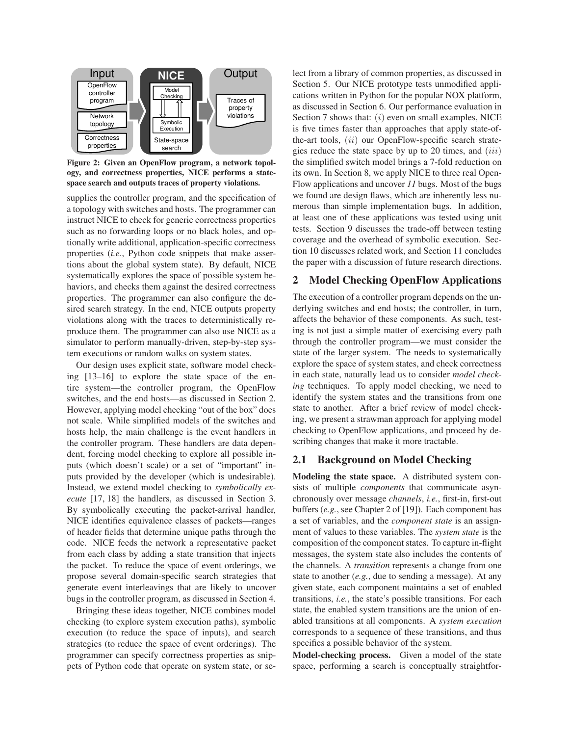

**Figure 2: Given an OpenFlow program, a network topology, and correctness properties, NICE performs a statespace search and outputs traces of property violations.**

supplies the controller program, and the specification of a topology with switches and hosts. The programmer can instruct NICE to check for generic correctness properties such as no forwarding loops or no black holes, and optionally write additional, application-specific correctness properties (*i.e.*, Python code snippets that make assertions about the global system state). By default, NICE systematically explores the space of possible system behaviors, and checks them against the desired correctness properties. The programmer can also configure the desired search strategy. In the end, NICE outputs property violations along with the traces to deterministically reproduce them. The programmer can also use NICE as a simulator to perform manually-driven, step-by-step system executions or random walks on system states.

Our design uses explicit state, software model checking [13–16] to explore the state space of the entire system—the controller program, the OpenFlow switches, and the end hosts—as discussed in Section 2. However, applying model checking "out of the box" does not scale. While simplified models of the switches and hosts help, the main challenge is the event handlers in the controller program. These handlers are data dependent, forcing model checking to explore all possible inputs (which doesn't scale) or a set of "important" inputs provided by the developer (which is undesirable). Instead, we extend model checking to *symbolically execute* [17, 18] the handlers, as discussed in Section 3. By symbolically executing the packet-arrival handler, NICE identifies equivalence classes of packets—ranges of header fields that determine unique paths through the code. NICE feeds the network a representative packet from each class by adding a state transition that injects the packet. To reduce the space of event orderings, we propose several domain-specific search strategies that generate event interleavings that are likely to uncover bugs in the controller program, as discussed in Section 4.

Bringing these ideas together, NICE combines model checking (to explore system execution paths), symbolic execution (to reduce the space of inputs), and search strategies (to reduce the space of event orderings). The programmer can specify correctness properties as snippets of Python code that operate on system state, or select from a library of common properties, as discussed in Section 5. Our NICE prototype tests unmodified applications written in Python for the popular NOX platform, as discussed in Section 6. Our performance evaluation in Section 7 shows that:  $(i)$  even on small examples, NICE is five times faster than approaches that apply state-ofthe-art tools,  $(ii)$  our OpenFlow-specific search strategies reduce the state space by up to 20 times, and  $(iii)$ the simplified switch model brings a 7-fold reduction on its own. In Section 8, we apply NICE to three real Open-Flow applications and uncover *11* bugs. Most of the bugs we found are design flaws, which are inherently less numerous than simple implementation bugs. In addition, at least one of these applications was tested using unit tests. Section 9 discusses the trade-off between testing coverage and the overhead of symbolic execution. Section 10 discusses related work, and Section 11 concludes the paper with a discussion of future research directions.

## **2 Model Checking OpenFlow Applications**

The execution of a controller program depends on the underlying switches and end hosts; the controller, in turn, affects the behavior of these components. As such, testing is not just a simple matter of exercising every path through the controller program—we must consider the state of the larger system. The needs to systematically explore the space of system states, and check correctness in each state, naturally lead us to consider *model checking* techniques. To apply model checking, we need to identify the system states and the transitions from one state to another. After a brief review of model checking, we present a strawman approach for applying model checking to OpenFlow applications, and proceed by describing changes that make it more tractable.

# **2.1 Background on Model Checking**

**Modeling the state space.** A distributed system consists of multiple *components* that communicate asynchronously over message *channels*, *i.e.*, first-in, first-out buffers (*e.g.*, see Chapter 2 of [19]). Each component has a set of variables, and the *component state* is an assignment of values to these variables. The *system state* is the composition of the component states. To capture in-flight messages, the system state also includes the contents of the channels. A *transition* represents a change from one state to another (*e.g.*, due to sending a message). At any given state, each component maintains a set of enabled transitions, *i.e.*, the state's possible transitions. For each state, the enabled system transitions are the union of enabled transitions at all components. A *system execution* corresponds to a sequence of these transitions, and thus specifies a possible behavior of the system.

**Model-checking process.** Given a model of the state space, performing a search is conceptually straightfor-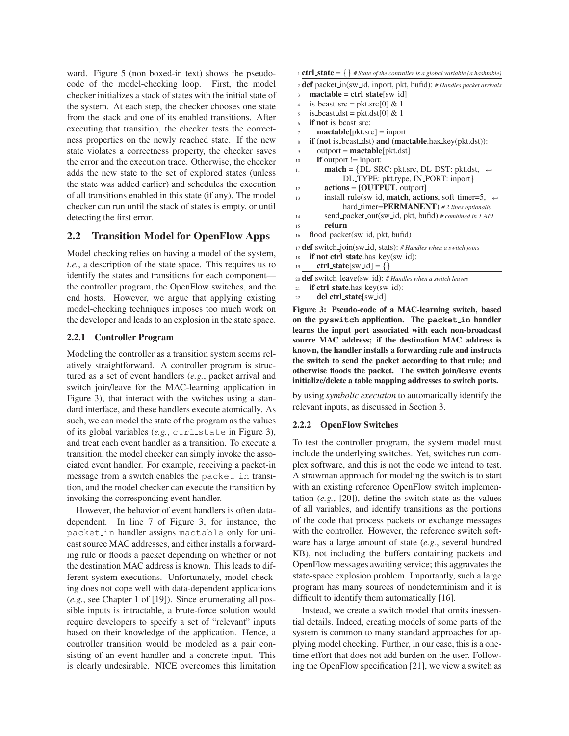ward. Figure 5 (non boxed-in text) shows the pseudocode of the model-checking loop. First, the model checker initializes a stack of states with the initial state of the system. At each step, the checker chooses one state from the stack and one of its enabled transitions. After executing that transition, the checker tests the correctness properties on the newly reached state. If the new state violates a correctness property, the checker saves the error and the execution trace. Otherwise, the checker adds the new state to the set of explored states (unless the state was added earlier) and schedules the execution of all transitions enabled in this state (if any). The model checker can run until the stack of states is empty, or until detecting the first error.

## **2.2 Transition Model for OpenFlow Apps**

Model checking relies on having a model of the system, *i.e.*, a description of the state space. This requires us to identify the states and transitions for each component the controller program, the OpenFlow switches, and the end hosts. However, we argue that applying existing model-checking techniques imposes too much work on the developer and leads to an explosion in the state space.

#### **2.2.1 Controller Program**

Modeling the controller as a transition system seems relatively straightforward. A controller program is structured as a set of event handlers (*e.g.*, packet arrival and switch join/leave for the MAC-learning application in Figure 3), that interact with the switches using a standard interface, and these handlers execute atomically. As such, we can model the state of the program as the values of its global variables (*e.g.*, ctrl state in Figure 3), and treat each event handler as a transition. To execute a transition, the model checker can simply invoke the associated event handler. For example, receiving a packet-in message from a switch enables the packet in transition, and the model checker can execute the transition by invoking the corresponding event handler.

However, the behavior of event handlers is often datadependent. In line 7 of Figure 3, for instance, the packet in handler assigns mactable only for unicast source MAC addresses, and either installs a forwarding rule or floods a packet depending on whether or not the destination MAC address is known. This leads to different system executions. Unfortunately, model checking does not cope well with data-dependent applications (*e.g.*, see Chapter 1 of [19]). Since enumerating all possible inputs is intractable, a brute-force solution would require developers to specify a set of "relevant" inputs based on their knowledge of the application. Hence, a controller transition would be modeled as a pair consisting of an event handler and a concrete input. This is clearly undesirable. NICE overcomes this limitation 1 **ctrl\_state** =  $\{\}$  # State of the controller is a global variable (a hashtable)

- <sup>2</sup> **def** packet in(sw id, inport, pkt, bufid): *# Handles packet arrivals*
- <sup>3</sup> **mactable** = **ctrl state**[sw id]
- 4 is bcast src = pkt.src $[0]$  & 1
- $5$  is bcast dst = pkt.dst[0] & 1
- <sup>6</sup> **if not** is bcast src:
- mactable[pkt.src] = inport
- <sup>8</sup> **if** (**not** is bcast dst) **and** (**mactable**.has key(pkt.dst)):
- <sup>9</sup> outport = **mactable**[pkt.dst]
- $\mathbf{i}$  **if** outport  $\mathbf{j}$  = inport:
- 11 **match** = {DL\_SRC: pkt.src, DL\_DST: pkt.dst,  $\leftrightarrow$ DL TYPE: pkt.type, IN PORT: inport}
- <sup>12</sup> **actions** = [**OUTPUT**, outport]
- <sup>13</sup> install rule(sw id, **match**, **actions**, soft timer=5, <sup>←</sup>֓ hard timer=**PERMANENT**) *# 2 lines optionally*
- <sup>14</sup> send packet out(sw id, pkt, bufid) *# combined in 1 API*
- <sup>15</sup> **return**
- <sup>16</sup> flood packet(sw id, pkt, bufid)

<sup>17</sup> **def** switch join(sw id, stats): *# Handles when a switch joins*

- 18 **if not ctrl\_state**.has\_key(sw\_id):
- 19 **ctrl\_state**[sw\_id] = {}

<sup>20</sup> **def** switch leave(sw id): *# Handles when a switch leaves*

- <sup>21</sup> **if ctrl state**.has key(sw id):
- <sup>22</sup> **del ctrl state**[sw id]

**Figure 3: Pseudo-code of a MAC-learning switch, based on the pyswitch application. The packet in handler learns the input port associated with each non-broadcast source MAC address; if the destination MAC address is known, the handler installs a forwarding rule and instructs the switch to send the packet according to that rule; and otherwise floods the packet. The switch join/leave events initialize/delete a table mapping addresses to switch ports.**

by using *symbolic execution* to automatically identify the relevant inputs, as discussed in Section 3.

#### **2.2.2 OpenFlow Switches**

To test the controller program, the system model must include the underlying switches. Yet, switches run complex software, and this is not the code we intend to test. A strawman approach for modeling the switch is to start with an existing reference OpenFlow switch implementation (*e.g.*, [20]), define the switch state as the values of all variables, and identify transitions as the portions of the code that process packets or exchange messages with the controller. However, the reference switch software has a large amount of state (*e.g.*, several hundred KB), not including the buffers containing packets and OpenFlow messages awaiting service; this aggravates the state-space explosion problem. Importantly, such a large program has many sources of nondeterminism and it is difficult to identify them automatically [16].

Instead, we create a switch model that omits inessential details. Indeed, creating models of some parts of the system is common to many standard approaches for applying model checking. Further, in our case, this is a onetime effort that does not add burden on the user. Following the OpenFlow specification [21], we view a switch as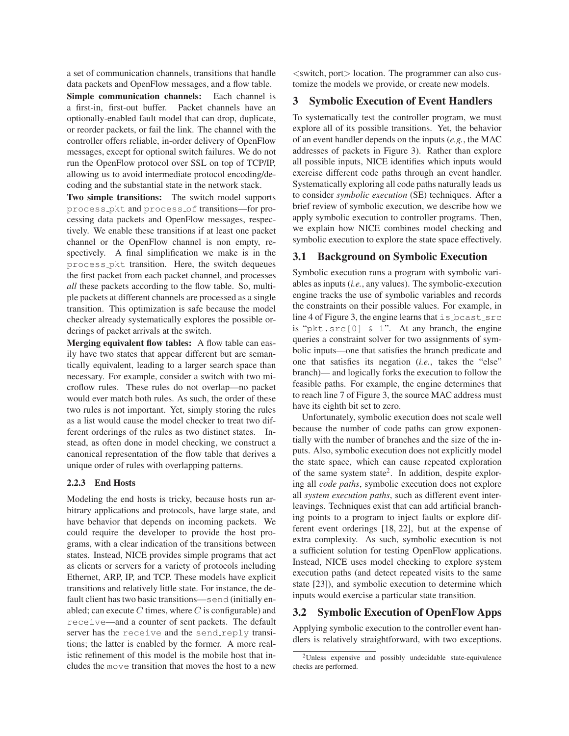a set of communication channels, transitions that handle data packets and OpenFlow messages, and a flow table.

**Simple communication channels:** Each channel is a first-in, first-out buffer. Packet channels have an optionally-enabled fault model that can drop, duplicate, or reorder packets, or fail the link. The channel with the controller offers reliable, in-order delivery of OpenFlow messages, except for optional switch failures. We do not run the OpenFlow protocol over SSL on top of TCP/IP, allowing us to avoid intermediate protocol encoding/decoding and the substantial state in the network stack.

**Two simple transitions:** The switch model supports process pkt and process of transitions—for processing data packets and OpenFlow messages, respectively. We enable these transitions if at least one packet channel or the OpenFlow channel is non empty, respectively. A final simplification we make is in the process pkt transition. Here, the switch dequeues the first packet from each packet channel, and processes *all* these packets according to the flow table. So, multiple packets at different channels are processed as a single transition. This optimization is safe because the model checker already systematically explores the possible orderings of packet arrivals at the switch.

**Merging equivalent flow tables:** A flow table can easily have two states that appear different but are semantically equivalent, leading to a larger search space than necessary. For example, consider a switch with two microflow rules. These rules do not overlap—no packet would ever match both rules. As such, the order of these two rules is not important. Yet, simply storing the rules as a list would cause the model checker to treat two different orderings of the rules as two distinct states. Instead, as often done in model checking, we construct a canonical representation of the flow table that derives a unique order of rules with overlapping patterns.

#### **2.2.3 End Hosts**

Modeling the end hosts is tricky, because hosts run arbitrary applications and protocols, have large state, and have behavior that depends on incoming packets. We could require the developer to provide the host programs, with a clear indication of the transitions between states. Instead, NICE provides simple programs that act as clients or servers for a variety of protocols including Ethernet, ARP, IP, and TCP. These models have explicit transitions and relatively little state. For instance, the default client has two basic transitions—send (initially enabled; can execute C times, where C is configurable) and receive—and a counter of sent packets. The default server has the receive and the send reply transitions; the latter is enabled by the former. A more realistic refinement of this model is the mobile host that includes the move transition that moves the host to a new

 $\leq$ switch, port $>$  location. The programmer can also customize the models we provide, or create new models.

#### **3 Symbolic Execution of Event Handlers**

To systematically test the controller program, we must explore all of its possible transitions. Yet, the behavior of an event handler depends on the inputs (*e.g.*, the MAC addresses of packets in Figure 3). Rather than explore all possible inputs, NICE identifies which inputs would exercise different code paths through an event handler. Systematically exploring all code paths naturally leads us to consider *symbolic execution* (SE) techniques. After a brief review of symbolic execution, we describe how we apply symbolic execution to controller programs. Then, we explain how NICE combines model checking and symbolic execution to explore the state space effectively.

#### **3.1 Background on Symbolic Execution**

Symbolic execution runs a program with symbolic variables as inputs (*i.e.*, any values). The symbolic-execution engine tracks the use of symbolic variables and records the constraints on their possible values. For example, in line 4 of Figure 3, the engine learns that is bcast src is "pkt.src[0] & 1". At any branch, the engine queries a constraint solver for two assignments of symbolic inputs—one that satisfies the branch predicate and one that satisfies its negation (*i.e.*, takes the "else" branch)— and logically forks the execution to follow the feasible paths. For example, the engine determines that to reach line 7 of Figure 3, the source MAC address must have its eighth bit set to zero.

Unfortunately, symbolic execution does not scale well because the number of code paths can grow exponentially with the number of branches and the size of the inputs. Also, symbolic execution does not explicitly model the state space, which can cause repeated exploration of the same system state<sup>2</sup>. In addition, despite exploring all *code paths*, symbolic execution does not explore all *system execution paths*, such as different event interleavings. Techniques exist that can add artificial branching points to a program to inject faults or explore different event orderings [18, 22], but at the expense of extra complexity. As such, symbolic execution is not a sufficient solution for testing OpenFlow applications. Instead, NICE uses model checking to explore system execution paths (and detect repeated visits to the same state [23]), and symbolic execution to determine which inputs would exercise a particular state transition.

## **3.2 Symbolic Execution of OpenFlow Apps**

Applying symbolic execution to the controller event handlers is relatively straightforward, with two exceptions.

<sup>2</sup>Unless expensive and possibly undecidable state-equivalence checks are performed.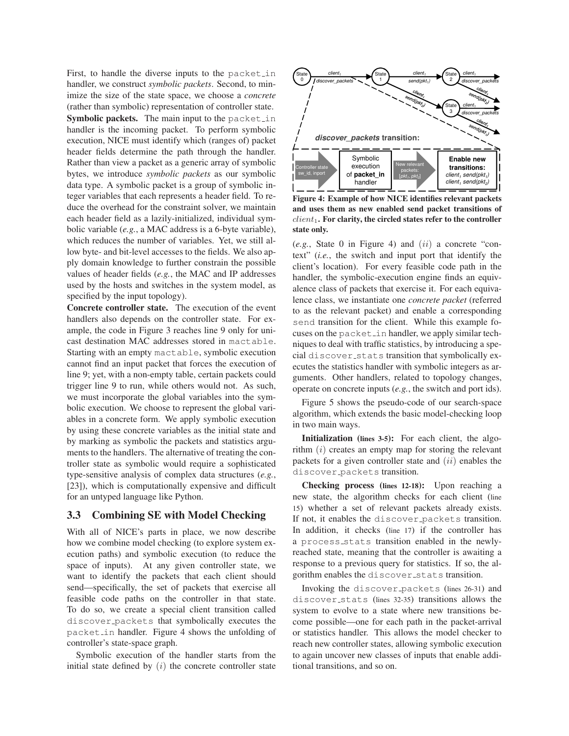First, to handle the diverse inputs to the packet in handler, we construct *symbolic packets*. Second, to minimize the size of the state space, we choose a *concrete* (rather than symbolic) representation of controller state. **Symbolic packets.** The main input to the packet in handler is the incoming packet. To perform symbolic execution, NICE must identify which (ranges of) packet header fields determine the path through the handler. Rather than view a packet as a generic array of symbolic bytes, we introduce *symbolic packets* as our symbolic data type. A symbolic packet is a group of symbolic integer variables that each represents a header field. To reduce the overhead for the constraint solver, we maintain each header field as a lazily-initialized, individual symbolic variable (*e.g.*, a MAC address is a 6-byte variable), which reduces the number of variables. Yet, we still allow byte- and bit-level accesses to the fields. We also apply domain knowledge to further constrain the possible values of header fields (*e.g.*, the MAC and IP addresses used by the hosts and switches in the system model, as specified by the input topology).

**Concrete controller state.** The execution of the event handlers also depends on the controller state. For example, the code in Figure 3 reaches line 9 only for unicast destination MAC addresses stored in mactable. Starting with an empty mactable, symbolic execution cannot find an input packet that forces the execution of line 9; yet, with a non-empty table, certain packets could trigger line 9 to run, while others would not. As such, we must incorporate the global variables into the symbolic execution. We choose to represent the global variables in a concrete form. We apply symbolic execution by using these concrete variables as the initial state and by marking as symbolic the packets and statistics arguments to the handlers. The alternative of treating the controller state as symbolic would require a sophisticated type-sensitive analysis of complex data structures (*e.g.*, [23]), which is computationally expensive and difficult for an untyped language like Python.

## **3.3 Combining SE with Model Checking**

With all of NICE's parts in place, we now describe how we combine model checking (to explore system execution paths) and symbolic execution (to reduce the space of inputs). At any given controller state, we want to identify the packets that each client should send—specifically, the set of packets that exercise all feasible code paths on the controller in that state. To do so, we create a special client transition called discover packets that symbolically executes the packet in handler. Figure 4 shows the unfolding of controller's state-space graph.

Symbolic execution of the handler starts from the initial state defined by  $(i)$  the concrete controller state



**Figure 4: Example of how NICE identifies relevant packets and uses them as new enabled send packet transitions of** client1**. For clarity, the circled states refer to the controller state only.**

(*e.g.*, State 0 in Figure 4) and (ii) a concrete "context" (*i.e.*, the switch and input port that identify the client's location). For every feasible code path in the handler, the symbolic-execution engine finds an equivalence class of packets that exercise it. For each equivalence class, we instantiate one *concrete packet* (referred to as the relevant packet) and enable a corresponding send transition for the client. While this example focuses on the packet in handler, we apply similar techniques to deal with traffic statistics, by introducing a special discover stats transition that symbolically executes the statistics handler with symbolic integers as arguments. Other handlers, related to topology changes, operate on concrete inputs (*e.g.*, the switch and port ids).

Figure 5 shows the pseudo-code of our search-space algorithm, which extends the basic model-checking loop in two main ways.

**Initialization (lines 3-5):** For each client, the algorithm  $(i)$  creates an empty map for storing the relevant packets for a given controller state and  $(ii)$  enables the discover packets transition.

**Checking process (lines 12-18):** Upon reaching a new state, the algorithm checks for each client (line 15) whether a set of relevant packets already exists. If not, it enables the discover packets transition. In addition, it checks (line 17) if the controller has a process stats transition enabled in the newlyreached state, meaning that the controller is awaiting a response to a previous query for statistics. If so, the algorithm enables the discover stats transition.

Invoking the discover packets (lines 26-31) and discover stats (lines 32-35) transitions allows the system to evolve to a state where new transitions become possible—one for each path in the packet-arrival or statistics handler. This allows the model checker to reach new controller states, allowing symbolic execution to again uncover new classes of inputs that enable additional transitions, and so on.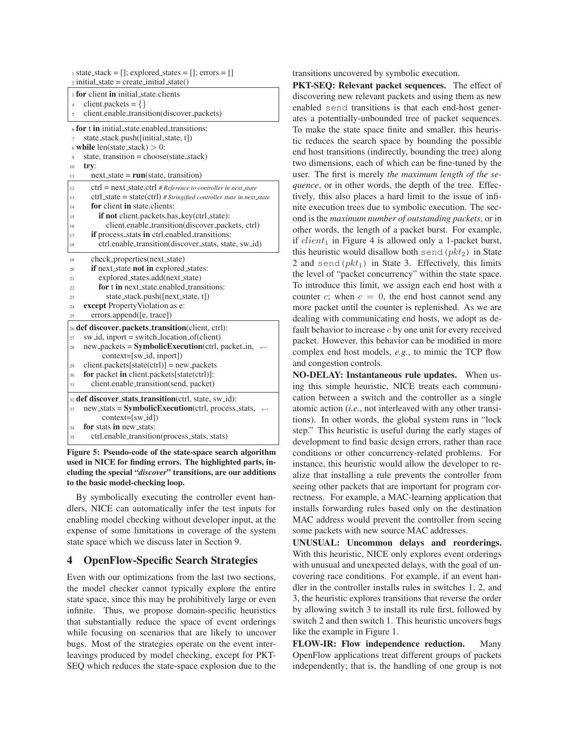| $\alpha$ state_stack = []; explored_states = []; errors = []<br>$_2$ initial_state = create_initial_state() |  |  |  |  |  |  |
|-------------------------------------------------------------------------------------------------------------|--|--|--|--|--|--|
| s for client in initial_state.clients                                                                       |  |  |  |  |  |  |
| client.packets = $\{\}$<br>$\overline{4}$                                                                   |  |  |  |  |  |  |
| client.enable_transition(discover_packets)<br>5                                                             |  |  |  |  |  |  |
| 6 for t in initial state enabled transitions:                                                               |  |  |  |  |  |  |
| state_stack.push([initial_state, t])                                                                        |  |  |  |  |  |  |
| while len(state_stack) $> 0$ :                                                                              |  |  |  |  |  |  |
| state, transition = choose(state_stack)<br>9                                                                |  |  |  |  |  |  |
| try:<br>10                                                                                                  |  |  |  |  |  |  |
| $next\_state = run(state, transition)$<br>11                                                                |  |  |  |  |  |  |
| $ctrl$ = next_state.ctrl # Reference to controller in next_state<br>12                                      |  |  |  |  |  |  |
| ctrl_state = state(ctrl) # Stringified controller state in next_state<br>13                                 |  |  |  |  |  |  |
| for client in state clients:<br>14                                                                          |  |  |  |  |  |  |
| if not client.packets.has_key(ctrl_state):<br>15                                                            |  |  |  |  |  |  |
| client.enable_transition(discover_packets, ctrl)<br>16                                                      |  |  |  |  |  |  |
| if process stats in ctrl.enabled_transitions:<br>17                                                         |  |  |  |  |  |  |
| ctrl.enable_transition(discover_stats, state, sw_id)<br>18                                                  |  |  |  |  |  |  |
| check_properties(next_state)<br>19                                                                          |  |  |  |  |  |  |
| if next_state not in explored_states:<br>20                                                                 |  |  |  |  |  |  |
| explored_states.add(next_state)<br>21                                                                       |  |  |  |  |  |  |
| for t in next state enabled transitions:<br>22                                                              |  |  |  |  |  |  |
| state_stack.push([next_state, t])<br>23                                                                     |  |  |  |  |  |  |
| <b>except</b> Property Violation as e:<br>24                                                                |  |  |  |  |  |  |
| errors.append([e, trace])<br>25                                                                             |  |  |  |  |  |  |
| 26 def discover_packets_transition(client, ctrl):                                                           |  |  |  |  |  |  |
| $sw_id$ , inport = switch location of (client)<br>27                                                        |  |  |  |  |  |  |
| new_packets = <b>SymbolicExecution</b> (ctrl, packet_in,<br>28                                              |  |  |  |  |  |  |
| context=[sw_id, inport])                                                                                    |  |  |  |  |  |  |
| $client.packets[state(ctr])] = new.packets$<br>29                                                           |  |  |  |  |  |  |
| for packet in client.packets[state(ctrl)]:<br>30                                                            |  |  |  |  |  |  |
| client.enable_transition(send, packet)<br>31                                                                |  |  |  |  |  |  |
| 32 def discover_stats_transition(ctrl, state, sw_id):                                                       |  |  |  |  |  |  |
| $new\_stats = SymbolicExecution(ctrl, process\_stats,$<br>33                                                |  |  |  |  |  |  |
| $context=[sw_id]$                                                                                           |  |  |  |  |  |  |
| <b>for</b> stats <b>in</b> new_stats:<br>34                                                                 |  |  |  |  |  |  |
| ctrl.enable_transition(process_stats, stats)<br>35                                                          |  |  |  |  |  |  |

**Figure 5: Pseudo-code of the state-space search algorithm used in NICE for finding errors. The highlighted parts, including the special "***discover***" transitions, are our additions to the basic model-checking loop.**

By symbolically executing the controller event handlers, NICE can automatically infer the test inputs for enabling model checking without developer input, at the expense of some limitations in coverage of the system state space which we discuss later in Section 9.

## **4 OpenFlow-Specific Search Strategies**

Even with our optimizations from the last two sections, the model checker cannot typically explore the entire state space, since this may be prohibitively large or even infinite. Thus, we propose domain-specific heuristics that substantially reduce the space of event orderings while focusing on scenarios that are likely to uncover bugs. Most of the strategies operate on the event interleavings produced by model checking, except for PKT-SEQ which reduces the state-space explosion due to the transitions uncovered by symbolic execution.

**PKT-SEQ: Relevant packet sequences.** The effect of discovering new relevant packets and using them as new enabled send transitions is that each end-host generates a potentially-unbounded tree of packet sequences. To make the state space finite and smaller, this heuristic reduces the search space by bounding the possible end host transitions (indirectly, bounding the tree) along two dimensions, each of which can be fine-tuned by the user. The first is merely *the maximum length of the sequence*, or in other words, the depth of the tree. Effectively, this also places a hard limit to the issue of infinite execution trees due to symbolic execution. The second is the *maximum number of outstanding packets*, or in other words, the length of a packet burst. For example, if  $client_1$  in Figure 4 is allowed only a 1-packet burst, this heuristic would disallow both send  $(\rho k t_2)$  in State 2 and send  $(\text{pkt}_1)$  in State 3. Effectively, this limits the level of "packet concurrency" within the state space. To introduce this limit, we assign each end host with a counter c; when  $c = 0$ , the end host cannot send any more packet until the counter is replenished. As we are dealing with communicating end hosts, we adopt as default behavior to increase  $c$  by one unit for every received packet. However, this behavior can be modified in more complex end host models, *e.g.*, to mimic the TCP flow and congestion controls.

**NO-DELAY: Instantaneous rule updates.** When using this simple heuristic, NICE treats each communication between a switch and the controller as a single atomic action (*i.e.*, not interleaved with any other transitions). In other words, the global system runs in "lock step." This heuristic is useful during the early stages of development to find basic design errors, rather than race conditions or other concurrency-related problems. For instance, this heuristic would allow the developer to realize that installing a rule prevents the controller from seeing other packets that are important for program correctness. For example, a MAC-learning application that installs forwarding rules based only on the destination MAC address would prevent the controller from seeing some packets with new source MAC addresses.

**UNUSUAL: Uncommon delays and reorderings.** With this heuristic, NICE only explores event orderings with unusual and unexpected delays, with the goal of uncovering race conditions. For example, if an event handler in the controller installs rules in switches 1, 2, and 3, the heuristic explores transitions that reverse the order by allowing switch 3 to install its rule first, followed by switch 2 and then switch 1. This heuristic uncovers bugs like the example in Figure 1.

**FLOW-IR: Flow independence reduction.** Many OpenFlow applications treat different groups of packets independently; that is, the handling of one group is not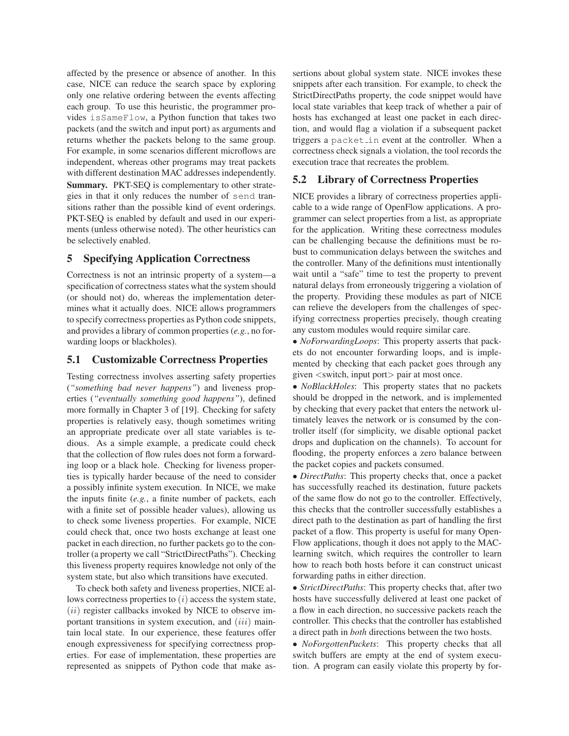affected by the presence or absence of another. In this case, NICE can reduce the search space by exploring only one relative ordering between the events affecting each group. To use this heuristic, the programmer provides isSameFlow, a Python function that takes two packets (and the switch and input port) as arguments and returns whether the packets belong to the same group. For example, in some scenarios different microflows are independent, whereas other programs may treat packets with different destination MAC addresses independently. **Summary.** PKT-SEQ is complementary to other strategies in that it only reduces the number of send transitions rather than the possible kind of event orderings. PKT-SEQ is enabled by default and used in our experiments (unless otherwise noted). The other heuristics can be selectively enabled.

## **5 Specifying Application Correctness**

Correctness is not an intrinsic property of a system—a specification of correctness states what the system should (or should not) do, whereas the implementation determines what it actually does. NICE allows programmers to specify correctness properties as Python code snippets, and provides a library of common properties (*e.g.*, no forwarding loops or blackholes).

## **5.1 Customizable Correctness Properties**

Testing correctness involves asserting safety properties (*"something bad never happens"*) and liveness properties (*"eventually something good happens"*), defined more formally in Chapter 3 of [19]. Checking for safety properties is relatively easy, though sometimes writing an appropriate predicate over all state variables is tedious. As a simple example, a predicate could check that the collection of flow rules does not form a forwarding loop or a black hole. Checking for liveness properties is typically harder because of the need to consider a possibly infinite system execution. In NICE, we make the inputs finite (*e.g.*, a finite number of packets, each with a finite set of possible header values), allowing us to check some liveness properties. For example, NICE could check that, once two hosts exchange at least one packet in each direction, no further packets go to the controller (a property we call "StrictDirectPaths"). Checking this liveness property requires knowledge not only of the system state, but also which transitions have executed.

To check both safety and liveness properties, NICE allows correctness properties to  $(i)$  access the system state,  $(ii)$  register callbacks invoked by NICE to observe important transitions in system execution, and  $(iii)$  maintain local state. In our experience, these features offer enough expressiveness for specifying correctness properties. For ease of implementation, these properties are represented as snippets of Python code that make assertions about global system state. NICE invokes these snippets after each transition. For example, to check the StrictDirectPaths property, the code snippet would have local state variables that keep track of whether a pair of hosts has exchanged at least one packet in each direction, and would flag a violation if a subsequent packet triggers a packet in event at the controller. When a correctness check signals a violation, the tool records the execution trace that recreates the problem.

### **5.2 Library of Correctness Properties**

NICE provides a library of correctness properties applicable to a wide range of OpenFlow applications. A programmer can select properties from a list, as appropriate for the application. Writing these correctness modules can be challenging because the definitions must be robust to communication delays between the switches and the controller. Many of the definitions must intentionally wait until a "safe" time to test the property to prevent natural delays from erroneously triggering a violation of the property. Providing these modules as part of NICE can relieve the developers from the challenges of specifying correctness properties precisely, though creating any custom modules would require similar care.

• *NoForwardingLoops*: This property asserts that packets do not encounter forwarding loops, and is implemented by checking that each packet goes through any given <switch, input port> pair at most once.

• *NoBlackHoles*: This property states that no packets should be dropped in the network, and is implemented by checking that every packet that enters the network ultimately leaves the network or is consumed by the controller itself (for simplicity, we disable optional packet drops and duplication on the channels). To account for flooding, the property enforces a zero balance between the packet copies and packets consumed.

• *DirectPaths*: This property checks that, once a packet has successfully reached its destination, future packets of the same flow do not go to the controller. Effectively, this checks that the controller successfully establishes a direct path to the destination as part of handling the first packet of a flow. This property is useful for many Open-Flow applications, though it does not apply to the MAClearning switch, which requires the controller to learn how to reach both hosts before it can construct unicast forwarding paths in either direction.

• *StrictDirectPaths*: This property checks that, after two hosts have successfully delivered at least one packet of a flow in each direction, no successive packets reach the controller. This checks that the controller has established a direct path in *both* directions between the two hosts.

• *NoForgottenPackets*: This property checks that all switch buffers are empty at the end of system execution. A program can easily violate this property by for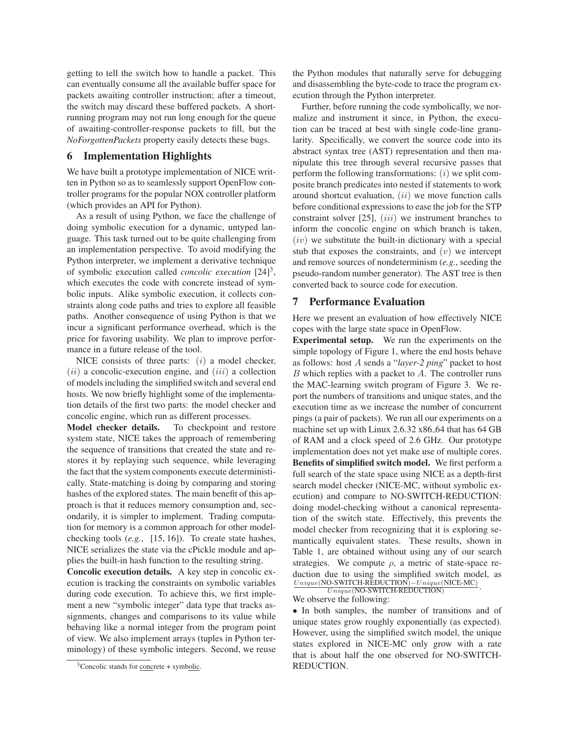getting to tell the switch how to handle a packet. This can eventually consume all the available buffer space for packets awaiting controller instruction; after a timeout, the switch may discard these buffered packets. A shortrunning program may not run long enough for the queue of awaiting-controller-response packets to fill, but the *NoForgottenPackets* property easily detects these bugs.

## **6 Implementation Highlights**

We have built a prototype implementation of NICE written in Python so as to seamlessly support OpenFlow controller programs for the popular NOX controller platform (which provides an API for Python).

As a result of using Python, we face the challenge of doing symbolic execution for a dynamic, untyped language. This task turned out to be quite challenging from an implementation perspective. To avoid modifying the Python interpreter, we implement a derivative technique of symbolic execution called *concolic execution* [24]<sup>3</sup>, which executes the code with concrete instead of symbolic inputs. Alike symbolic execution, it collects constraints along code paths and tries to explore all feasible paths. Another consequence of using Python is that we incur a significant performance overhead, which is the price for favoring usability. We plan to improve performance in a future release of the tool.

NICE consists of three parts:  $(i)$  a model checker,  $(ii)$  a concolic-execution engine, and  $(iii)$  a collection of models including the simplified switch and several end hosts. We now briefly highlight some of the implementation details of the first two parts: the model checker and concolic engine, which run as different processes.

**Model checker details.** To checkpoint and restore system state, NICE takes the approach of remembering the sequence of transitions that created the state and restores it by replaying such sequence, while leveraging the fact that the system components execute deterministically. State-matching is doing by comparing and storing hashes of the explored states. The main benefit of this approach is that it reduces memory consumption and, secondarily, it is simpler to implement. Trading computation for memory is a common approach for other modelchecking tools (*e.g.*, [15, 16]). To create state hashes, NICE serializes the state via the cPickle module and applies the built-in hash function to the resulting string.

**Concolic execution details.** A key step in concolic execution is tracking the constraints on symbolic variables during code execution. To achieve this, we first implement a new "symbolic integer" data type that tracks assignments, changes and comparisons to its value while behaving like a normal integer from the program point of view. We also implement arrays (tuples in Python terminology) of these symbolic integers. Second, we reuse the Python modules that naturally serve for debugging and disassembling the byte-code to trace the program execution through the Python interpreter.

Further, before running the code symbolically, we normalize and instrument it since, in Python, the execution can be traced at best with single code-line granularity. Specifically, we convert the source code into its abstract syntax tree (AST) representation and then manipulate this tree through several recursive passes that perform the following transformations:  $(i)$  we split composite branch predicates into nested if statements to work around shortcut evaluation,  $(ii)$  we move function calls before conditional expressions to ease the job for the STP constraint solver  $[25]$ ,  $(iii)$  we instrument branches to inform the concolic engine on which branch is taken,  $(iv)$  we substitute the built-in dictionary with a special stub that exposes the constraints, and  $(v)$  we intercept and remove sources of nondeterminism (*e.g.*, seeding the pseudo-random number generator). The AST tree is then converted back to source code for execution.

#### **7 Performance Evaluation**

Here we present an evaluation of how effectively NICE copes with the large state space in OpenFlow.

**Experimental setup.** We run the experiments on the simple topology of Figure 1, where the end hosts behave as follows: host A sends a "*layer-2 ping*" packet to host  $B$  which replies with a packet to  $A$ . The controller runs the MAC-learning switch program of Figure 3. We report the numbers of transitions and unique states, and the execution time as we increase the number of concurrent pings (a pair of packets). We run all our experiments on a machine set up with Linux 2.6.32 x86 64 that has 64 GB of RAM and a clock speed of 2.6 GHz. Our prototype implementation does not yet make use of multiple cores. **Benefits of simplified switch model.** We first perform a full search of the state space using NICE as a depth-first search model checker (NICE-MC, without symbolic execution) and compare to NO-SWITCH-REDUCTION: doing model-checking without a canonical representation of the switch state. Effectively, this prevents the model checker from recognizing that it is exploring semantically equivalent states. These results, shown in Table 1, are obtained without using any of our search strategies. We compute  $\rho$ , a metric of state-space reduction due to using the simplified switch model, as Unique(NO-SWITCH-REDUCTION)−Unique(NICE-MC).<br>Unique(NO-SWITCH-REDUCTION) Unique(NO-SWITCH-REDUCTION)

We observe the following:

• In both samples, the number of transitions and of unique states grow roughly exponentially (as expected). However, using the simplified switch model, the unique states explored in NICE-MC only grow with a rate that is about half the one observed for NO-SWITCH-REDUCTION.

<sup>&</sup>lt;sup>3</sup>Concolic stands for <u>conc</u>rete + symbolic.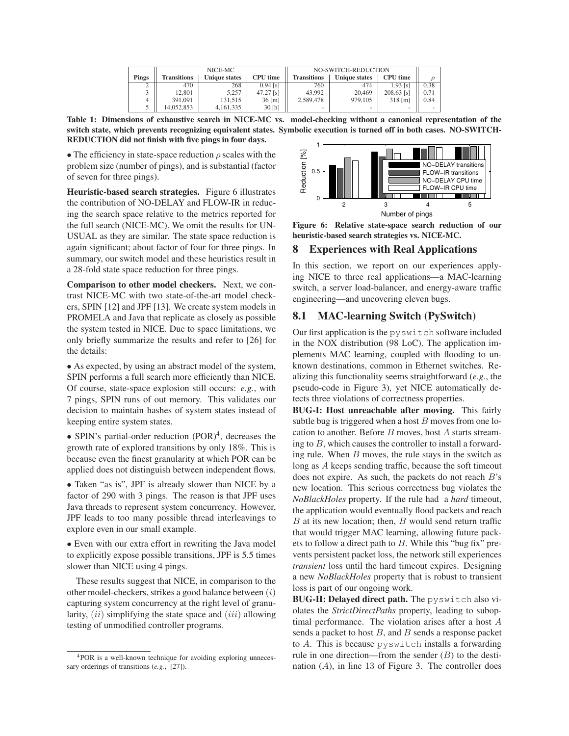|       | NICE-MC            |                      |                     | NO-SWITCH-REDUCTION |                      |                 |           |
|-------|--------------------|----------------------|---------------------|---------------------|----------------------|-----------------|-----------|
| Pings | <b>Transitions</b> | <b>Unique states</b> | CPU time            | <b>Transitions</b>  | <b>Unique states</b> | <b>CPU</b> time |           |
| ∠     | 470                | 268                  | $0.94$ [s]          | 760                 | 474                  | $1.93$ [s]      | 0.38      |
|       | 12,801             | 5.257                | $47.27$ [s]         | 43,992              | 20,469               | $208.63$ [s]    | $_{0.71}$ |
|       | 391.091            | 131.515              | $36 \,[\mathrm{m}]$ | 2.589,478           | 979.105              | $318$ [m]       | 0.84      |
|       | 14.052.853         | 4,161,335            | 30 [h]              | -                   | -                    |                 |           |

**Table 1: Dimensions of exhaustive search in NICE-MC vs. model-checking without a canonical representation of the switch state, which prevents recognizing equivalent states. Symbolic execution is turned off in both cases. NO-SWITCH-REDUCTION did not finish with five pings in four days.**

• The efficiency in state-space reduction  $\rho$  scales with the problem size (number of pings), and is substantial (factor of seven for three pings).

**Heuristic-based search strategies.** Figure 6 illustrates the contribution of NO-DELAY and FLOW-IR in reducing the search space relative to the metrics reported for the full search (NICE-MC). We omit the results for UN-USUAL as they are similar. The state space reduction is again significant; about factor of four for three pings. In summary, our switch model and these heuristics result in a 28-fold state space reduction for three pings.

**Comparison to other model checkers.** Next, we contrast NICE-MC with two state-of-the-art model checkers, SPIN [12] and JPF [13]. We create system models in PROMELA and Java that replicate as closely as possible the system tested in NICE. Due to space limitations, we only briefly summarize the results and refer to [26] for the details:

• As expected, by using an abstract model of the system, SPIN performs a full search more efficiently than NICE. Of course, state-space explosion still occurs: *e.g.*, with 7 pings, SPIN runs of out memory. This validates our decision to maintain hashes of system states instead of keeping entire system states.

• SPIN's partial-order reduction (POR)<sup>4</sup>, decreases the growth rate of explored transitions by only 18%. This is because even the finest granularity at which POR can be applied does not distinguish between independent flows.

• Taken "as is", JPF is already slower than NICE by a factor of 290 with 3 pings. The reason is that JPF uses Java threads to represent system concurrency. However, JPF leads to too many possible thread interleavings to explore even in our small example.

• Even with our extra effort in rewriting the Java model to explicitly expose possible transitions, JPF is 5.5 times slower than NICE using 4 pings.

These results suggest that NICE, in comparison to the other model-checkers, strikes a good balance between (i) capturing system concurrency at the right level of granularity,  $(ii)$  simplifying the state space and  $(iii)$  allowing testing of unmodified controller programs.



**Figure 6: Relative state-space search reduction of our heuristic-based search strategies vs. NICE-MC.**

## **8 Experiences with Real Applications**

In this section, we report on our experiences applying NICE to three real applications—a MAC-learning switch, a server load-balancer, and energy-aware traffic engineering—and uncovering eleven bugs.

## **8.1 MAC-learning Switch (PySwitch)**

Our first application is the pyswitch software included in the NOX distribution (98 LoC). The application implements MAC learning, coupled with flooding to unknown destinations, common in Ethernet switches. Realizing this functionality seems straightforward (*e.g.*, the pseudo-code in Figure 3), yet NICE automatically detects three violations of correctness properties.

**BUG-I: Host unreachable after moving.** This fairly subtle bug is triggered when a host  $B$  moves from one location to another. Before B moves, host A starts streaming to  $B$ , which causes the controller to install a forwarding rule. When  $B$  moves, the rule stays in the switch as long as A keeps sending traffic, because the soft timeout does not expire. As such, the packets do not reach  $B$ 's new location. This serious correctness bug violates the *NoBlackHoles* property. If the rule had a *hard* timeout, the application would eventually flood packets and reach  $B$  at its new location; then,  $B$  would send return traffic that would trigger MAC learning, allowing future packets to follow a direct path to  $B$ . While this "bug fix" prevents persistent packet loss, the network still experiences *transient* loss until the hard timeout expires. Designing a new *NoBlackHoles* property that is robust to transient loss is part of our ongoing work.

**BUG-II: Delayed direct path.** The pyswitch also violates the *StrictDirectPaths* property, leading to suboptimal performance. The violation arises after a host A sends a packet to host  $B$ , and  $B$  sends a response packet to A. This is because pyswitch installs a forwarding rule in one direction—from the sender  $(B)$  to the destination  $(A)$ , in line 13 of Figure 3. The controller does

<sup>&</sup>lt;sup>4</sup>POR is a well-known technique for avoiding exploring unnecessary orderings of transitions (*e.g.*, [27]).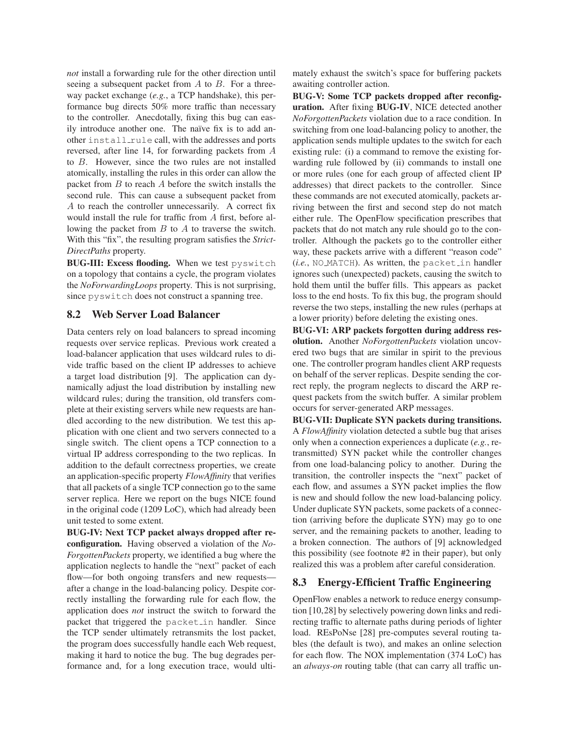*not* install a forwarding rule for the other direction until seeing a subsequent packet from  $A$  to  $B$ . For a threeway packet exchange (*e.g.*, a TCP handshake), this performance bug directs 50% more traffic than necessary to the controller. Anecdotally, fixing this bug can easily introduce another one. The naïve fix is to add another install rule call, with the addresses and ports reversed, after line 14, for forwarding packets from A to B. However, since the two rules are not installed atomically, installing the rules in this order can allow the packet from  $B$  to reach  $A$  before the switch installs the second rule. This can cause a subsequent packet from A to reach the controller unnecessarily. A correct fix would install the rule for traffic from A first, before allowing the packet from B to A to traverse the switch. With this "fix", the resulting program satisfies the *Strict-DirectPaths* property.

**BUG-III: Excess flooding.** When we test pyswitch on a topology that contains a cycle, the program violates the *NoForwardingLoops* property. This is not surprising, since pyswitch does not construct a spanning tree.

# **8.2 Web Server Load Balancer**

Data centers rely on load balancers to spread incoming requests over service replicas. Previous work created a load-balancer application that uses wildcard rules to divide traffic based on the client IP addresses to achieve a target load distribution [9]. The application can dynamically adjust the load distribution by installing new wildcard rules; during the transition, old transfers complete at their existing servers while new requests are handled according to the new distribution. We test this application with one client and two servers connected to a single switch. The client opens a TCP connection to a virtual IP address corresponding to the two replicas. In addition to the default correctness properties, we create an application-specific property *FlowAffinity* that verifies that all packets of a single TCP connection go to the same server replica. Here we report on the bugs NICE found in the original code (1209 LoC), which had already been unit tested to some extent.

**BUG-IV: Next TCP packet always dropped after reconfiguration.** Having observed a violation of the *No-ForgottenPackets* property, we identified a bug where the application neglects to handle the "next" packet of each flow—for both ongoing transfers and new requests after a change in the load-balancing policy. Despite correctly installing the forwarding rule for each flow, the application does *not* instruct the switch to forward the packet that triggered the packet in handler. Since the TCP sender ultimately retransmits the lost packet, the program does successfully handle each Web request, making it hard to notice the bug. The bug degrades performance and, for a long execution trace, would ultimately exhaust the switch's space for buffering packets awaiting controller action.

**BUG-V: Some TCP packets dropped after reconfiguration.** After fixing **BUG-IV**, NICE detected another *NoForgottenPackets* violation due to a race condition. In switching from one load-balancing policy to another, the application sends multiple updates to the switch for each existing rule: (i) a command to remove the existing forwarding rule followed by (ii) commands to install one or more rules (one for each group of affected client IP addresses) that direct packets to the controller. Since these commands are not executed atomically, packets arriving between the first and second step do not match either rule. The OpenFlow specification prescribes that packets that do not match any rule should go to the controller. Although the packets go to the controller either way, these packets arrive with a different "reason code" (*i.e.*, NO MATCH). As written, the packet in handler ignores such (unexpected) packets, causing the switch to hold them until the buffer fills. This appears as packet loss to the end hosts. To fix this bug, the program should reverse the two steps, installing the new rules (perhaps at a lower priority) before deleting the existing ones.

**BUG-VI: ARP packets forgotten during address resolution.** Another *NoForgottenPackets* violation uncovered two bugs that are similar in spirit to the previous one. The controller program handles client ARP requests on behalf of the server replicas. Despite sending the correct reply, the program neglects to discard the ARP request packets from the switch buffer. A similar problem occurs for server-generated ARP messages.

**BUG-VII: Duplicate SYN packets during transitions.** A *FlowAffinity* violation detected a subtle bug that arises only when a connection experiences a duplicate (*e.g.*, retransmitted) SYN packet while the controller changes from one load-balancing policy to another. During the transition, the controller inspects the "next" packet of each flow, and assumes a SYN packet implies the flow is new and should follow the new load-balancing policy. Under duplicate SYN packets, some packets of a connection (arriving before the duplicate SYN) may go to one server, and the remaining packets to another, leading to a broken connection. The authors of [9] acknowledged this possibility (see footnote #2 in their paper), but only realized this was a problem after careful consideration.

# **8.3 Energy-Efficient Traffic Engineering**

OpenFlow enables a network to reduce energy consumption [10,28] by selectively powering down links and redirecting traffic to alternate paths during periods of lighter load. REsPoNse [28] pre-computes several routing tables (the default is two), and makes an online selection for each flow. The NOX implementation (374 LoC) has an *always-on* routing table (that can carry all traffic un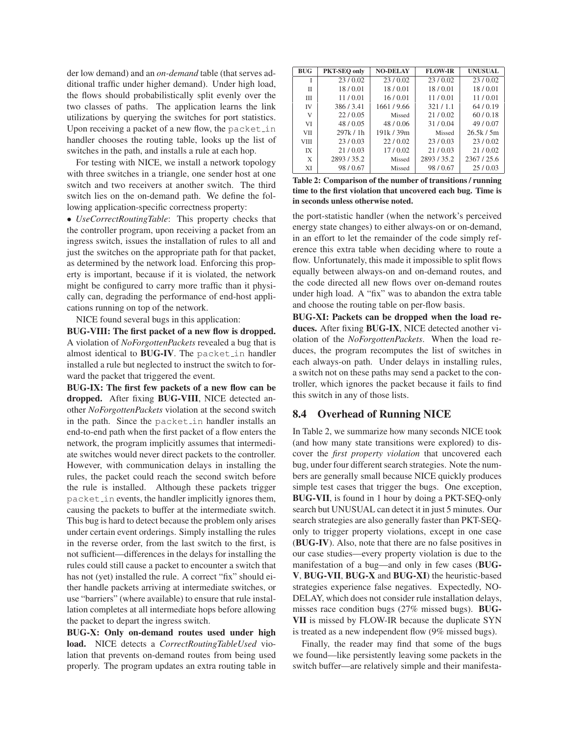der low demand) and an *on-demand* table (that serves additional traffic under higher demand). Under high load, the flows should probabilistically split evenly over the two classes of paths. The application learns the link utilizations by querying the switches for port statistics. Upon receiving a packet of a new flow, the packet in handler chooses the routing table, looks up the list of switches in the path, and installs a rule at each hop.

For testing with NICE, we install a network topology with three switches in a triangle, one sender host at one switch and two receivers at another switch. The third switch lies on the on-demand path. We define the following application-specific correctness property:

• *UseCorrectRoutingTable*: This property checks that the controller program, upon receiving a packet from an ingress switch, issues the installation of rules to all and just the switches on the appropriate path for that packet, as determined by the network load. Enforcing this property is important, because if it is violated, the network might be configured to carry more traffic than it physically can, degrading the performance of end-host applications running on top of the network.

NICE found several bugs in this application:

**BUG-VIII: The first packet of a new flow is dropped.** A violation of *NoForgottenPackets* revealed a bug that is almost identical to **BUG-IV**. The packet in handler installed a rule but neglected to instruct the switch to forward the packet that triggered the event.

**BUG-IX: The first few packets of a new flow can be dropped.** After fixing **BUG-VIII**, NICE detected another *NoForgottenPackets* violation at the second switch in the path. Since the packet in handler installs an end-to-end path when the first packet of a flow enters the network, the program implicitly assumes that intermediate switches would never direct packets to the controller. However, with communication delays in installing the rules, the packet could reach the second switch before the rule is installed. Although these packets trigger packet in events, the handler implicitly ignores them, causing the packets to buffer at the intermediate switch. This bug is hard to detect because the problem only arises under certain event orderings. Simply installing the rules in the reverse order, from the last switch to the first, is not sufficient—differences in the delays for installing the rules could still cause a packet to encounter a switch that has not (yet) installed the rule. A correct "fix" should either handle packets arriving at intermediate switches, or use "barriers" (where available) to ensure that rule installation completes at all intermediate hops before allowing the packet to depart the ingress switch.

**BUG-X: Only on-demand routes used under high load.** NICE detects a *CorrectRoutingTableUsed* violation that prevents on-demand routes from being used properly. The program updates an extra routing table in

| <b>BUG</b>  | PKT-SEQ only | <b>NO-DELAY</b> | <b>FLOW-IR</b> | <b>UNUSUAL</b> |
|-------------|--------------|-----------------|----------------|----------------|
| I           | 23/0.02      | 23/0.02         | 23/0.02        | 23/0.02        |
| Π           | 18/0.01      | 18/0.01         | 18/0.01        | 18/0.01        |
| Ш           | 11/0.01      | 16/0.01         | 11/0.01        | 11/0.01        |
| IV          | 386/3.41     | 1661/9.66       | 321/1.1        | 64/0.19        |
| V           | 22/0.05      | Missed          | 21/0.02        | 60/0.18        |
| VI          | 48/0.05      | 48/0.06         | 31/0.04        | 49/0.07        |
| <b>VII</b>  | 297k/1h      | 191k / 39m      | Missed         | 26.5k/5m       |
| <b>VIII</b> | 23/0.03      | 22/0.02         | 23/0.03        | 23/0.02        |
| IX          | 21/0.03      | 17/0.02         | 21/0.03        | 21/0.02        |
| X           | 2893/35.2    | Missed          | 2893/35.2      | 2367/25.6      |
| XI          | 98/0.67      | Missed          | 98/0.67        | 25/0.03        |

**Table 2: Comparison of the number of transitions / running time to the first violation that uncovered each bug. Time is in seconds unless otherwise noted.**

the port-statistic handler (when the network's perceived energy state changes) to either always-on or on-demand, in an effort to let the remainder of the code simply reference this extra table when deciding where to route a flow. Unfortunately, this made it impossible to split flows equally between always-on and on-demand routes, and the code directed all new flows over on-demand routes under high load. A "fix" was to abandon the extra table and choose the routing table on per-flow basis.

**BUG-XI: Packets can be dropped when the load reduces.** After fixing **BUG-IX**, NICE detected another violation of the *NoForgottenPackets*. When the load reduces, the program recomputes the list of switches in each always-on path. Under delays in installing rules, a switch not on these paths may send a packet to the controller, which ignores the packet because it fails to find this switch in any of those lists.

## **8.4 Overhead of Running NICE**

In Table 2, we summarize how many seconds NICE took (and how many state transitions were explored) to discover the *first property violation* that uncovered each bug, under four different search strategies. Note the numbers are generally small because NICE quickly produces simple test cases that trigger the bugs. One exception, **BUG-VII**, is found in 1 hour by doing a PKT-SEQ-only search but UNUSUAL can detect it in just 5 minutes. Our search strategies are also generally faster than PKT-SEQonly to trigger property violations, except in one case (**BUG-IV**). Also, note that there are no false positives in our case studies—every property violation is due to the manifestation of a bug—and only in few cases (**BUG-V**, **BUG-VII**, **BUG-X** and **BUG-XI**) the heuristic-based strategies experience false negatives. Expectedly, NO-DELAY, which does not consider rule installation delays, misses race condition bugs (27% missed bugs). **BUG-VII** is missed by FLOW-IR because the duplicate SYN is treated as a new independent flow (9% missed bugs).

Finally, the reader may find that some of the bugs we found—like persistently leaving some packets in the switch buffer—are relatively simple and their manifesta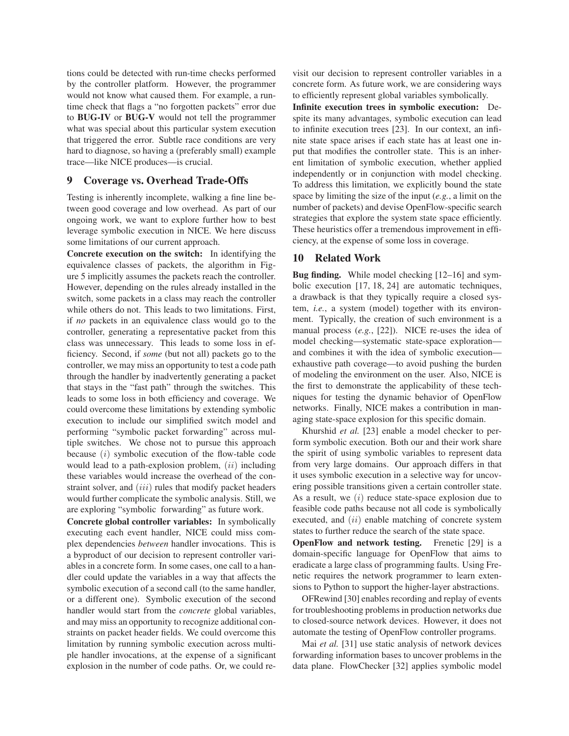tions could be detected with run-time checks performed by the controller platform. However, the programmer would not know what caused them. For example, a runtime check that flags a "no forgotten packets" error due to **BUG-IV** or **BUG-V** would not tell the programmer what was special about this particular system execution that triggered the error. Subtle race conditions are very hard to diagnose, so having a (preferably small) example trace—like NICE produces—is crucial.

### **9 Coverage vs. Overhead Trade-Offs**

Testing is inherently incomplete, walking a fine line between good coverage and low overhead. As part of our ongoing work, we want to explore further how to best leverage symbolic execution in NICE. We here discuss some limitations of our current approach.

**Concrete execution on the switch:** In identifying the equivalence classes of packets, the algorithm in Figure 5 implicitly assumes the packets reach the controller. However, depending on the rules already installed in the switch, some packets in a class may reach the controller while others do not. This leads to two limitations. First, if *no* packets in an equivalence class would go to the controller, generating a representative packet from this class was unnecessary. This leads to some loss in efficiency. Second, if *some* (but not all) packets go to the controller, we may miss an opportunity to test a code path through the handler by inadvertently generating a packet that stays in the "fast path" through the switches. This leads to some loss in both efficiency and coverage. We could overcome these limitations by extending symbolic execution to include our simplified switch model and performing "symbolic packet forwarding" across multiple switches. We chose not to pursue this approach because  $(i)$  symbolic execution of the flow-table code would lead to a path-explosion problem,  $(ii)$  including these variables would increase the overhead of the constraint solver, and *(iii)* rules that modify packet headers would further complicate the symbolic analysis. Still, we are exploring "symbolic forwarding" as future work.

**Concrete global controller variables:** In symbolically executing each event handler, NICE could miss complex dependencies *between* handler invocations. This is a byproduct of our decision to represent controller variables in a concrete form. In some cases, one call to a handler could update the variables in a way that affects the symbolic execution of a second call (to the same handler, or a different one). Symbolic execution of the second handler would start from the *concrete* global variables, and may miss an opportunity to recognize additional constraints on packet header fields. We could overcome this limitation by running symbolic execution across multiple handler invocations, at the expense of a significant explosion in the number of code paths. Or, we could revisit our decision to represent controller variables in a concrete form. As future work, we are considering ways to efficiently represent global variables symbolically.

**Infinite execution trees in symbolic execution:** Despite its many advantages, symbolic execution can lead to infinite execution trees [23]. In our context, an infinite state space arises if each state has at least one input that modifies the controller state. This is an inherent limitation of symbolic execution, whether applied independently or in conjunction with model checking. To address this limitation, we explicitly bound the state space by limiting the size of the input (*e.g.*, a limit on the number of packets) and devise OpenFlow-specific search strategies that explore the system state space efficiently. These heuristics offer a tremendous improvement in efficiency, at the expense of some loss in coverage.

### **10 Related Work**

**Bug finding.** While model checking [12–16] and symbolic execution [17, 18, 24] are automatic techniques, a drawback is that they typically require a closed system, *i.e.*, a system (model) together with its environment. Typically, the creation of such environment is a manual process (*e.g.*, [22]). NICE re-uses the idea of model checking—systematic state-space exploration and combines it with the idea of symbolic execution exhaustive path coverage—to avoid pushing the burden of modeling the environment on the user. Also, NICE is the first to demonstrate the applicability of these techniques for testing the dynamic behavior of OpenFlow networks. Finally, NICE makes a contribution in managing state-space explosion for this specific domain.

Khurshid *et al.* [23] enable a model checker to perform symbolic execution. Both our and their work share the spirit of using symbolic variables to represent data from very large domains. Our approach differs in that it uses symbolic execution in a selective way for uncovering possible transitions given a certain controller state. As a result, we *(i)* reduce state-space explosion due to feasible code paths because not all code is symbolically executed, and  $(ii)$  enable matching of concrete system states to further reduce the search of the state space.

**OpenFlow and network testing.** Frenetic [29] is a domain-specific language for OpenFlow that aims to eradicate a large class of programming faults. Using Frenetic requires the network programmer to learn extensions to Python to support the higher-layer abstractions.

OFRewind [30] enables recording and replay of events for troubleshooting problems in production networks due to closed-source network devices. However, it does not automate the testing of OpenFlow controller programs.

Mai *et al.* [31] use static analysis of network devices forwarding information bases to uncover problems in the data plane. FlowChecker [32] applies symbolic model